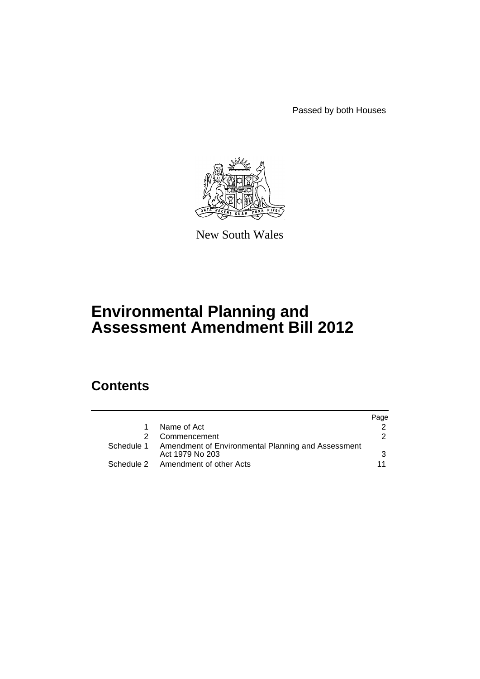Passed by both Houses



New South Wales

# **Environmental Planning and Assessment Amendment Bill 2012**

# **Contents**

|                                                                                  | Page |
|----------------------------------------------------------------------------------|------|
| Name of Act                                                                      |      |
| Commencement                                                                     | 2    |
| Schedule 1 Amendment of Environmental Planning and Assessment<br>Act 1979 No 203 | 3    |
| Schedule 2 Amendment of other Acts                                               |      |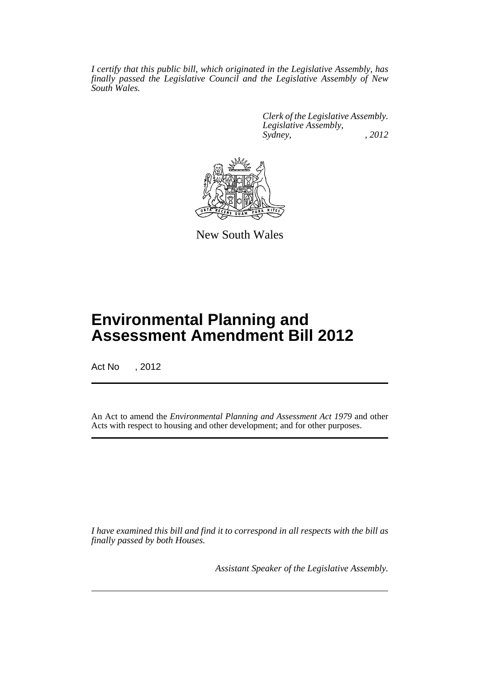*I certify that this public bill, which originated in the Legislative Assembly, has finally passed the Legislative Council and the Legislative Assembly of New South Wales.*

> *Clerk of the Legislative Assembly. Legislative Assembly, Sydney, , 2012*



New South Wales

# **Environmental Planning and Assessment Amendment Bill 2012**

Act No , 2012

An Act to amend the *Environmental Planning and Assessment Act 1979* and other Acts with respect to housing and other development; and for other purposes.

*I have examined this bill and find it to correspond in all respects with the bill as finally passed by both Houses.*

*Assistant Speaker of the Legislative Assembly.*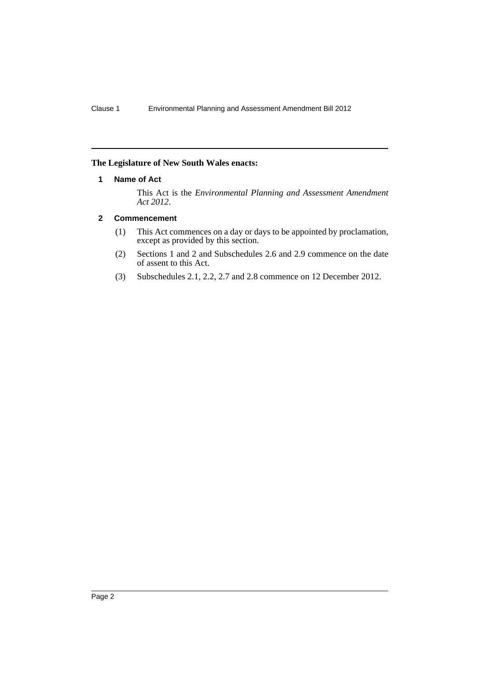## <span id="page-3-0"></span>**The Legislature of New South Wales enacts:**

### **1 Name of Act**

This Act is the *Environmental Planning and Assessment Amendment Act 2012*.

### <span id="page-3-1"></span>**2 Commencement**

- (1) This Act commences on a day or days to be appointed by proclamation, except as provided by this section.
- (2) Sections 1 and 2 and Subschedules 2.6 and 2.9 commence on the date of assent to this Act.
- (3) Subschedules 2.1, 2.2, 2.7 and 2.8 commence on 12 December 2012.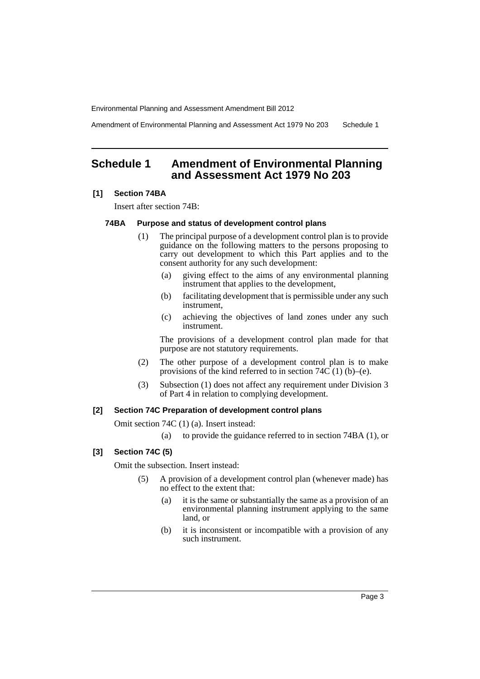Amendment of Environmental Planning and Assessment Act 1979 No 203 Schedule 1

# <span id="page-4-0"></span>**Schedule 1 Amendment of Environmental Planning and Assessment Act 1979 No 203**

#### **[1] Section 74BA**

Insert after section 74B:

#### **74BA Purpose and status of development control plans**

- (1) The principal purpose of a development control plan is to provide guidance on the following matters to the persons proposing to carry out development to which this Part applies and to the consent authority for any such development:
	- (a) giving effect to the aims of any environmental planning instrument that applies to the development,
	- (b) facilitating development that is permissible under any such instrument,
	- (c) achieving the objectives of land zones under any such instrument.

The provisions of a development control plan made for that purpose are not statutory requirements.

- (2) The other purpose of a development control plan is to make provisions of the kind referred to in section  $74\overline{C}(1)$  (b)–(e).
- (3) Subsection (1) does not affect any requirement under Division 3 of Part 4 in relation to complying development.

## **[2] Section 74C Preparation of development control plans**

Omit section 74C (1) (a). Insert instead:

(a) to provide the guidance referred to in section 74BA (1), or

## **[3] Section 74C (5)**

Omit the subsection. Insert instead:

- (5) A provision of a development control plan (whenever made) has no effect to the extent that:
	- (a) it is the same or substantially the same as a provision of an environmental planning instrument applying to the same land, or
	- (b) it is inconsistent or incompatible with a provision of any such instrument.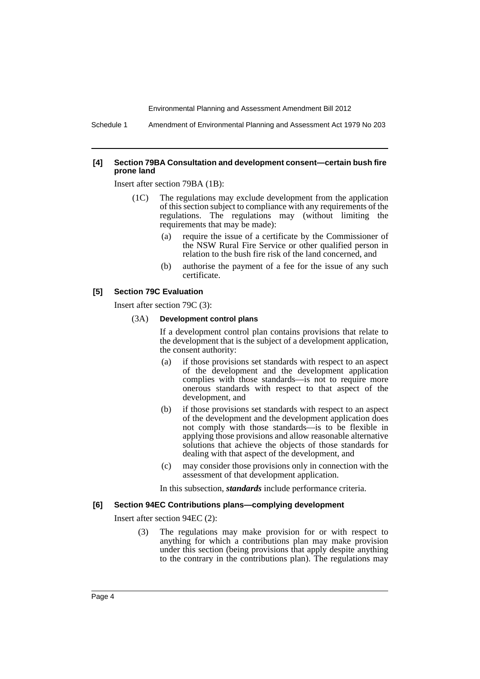Schedule 1 Amendment of Environmental Planning and Assessment Act 1979 No 203

#### **[4] Section 79BA Consultation and development consent—certain bush fire prone land**

Insert after section 79BA (1B):

- (1C) The regulations may exclude development from the application of this section subject to compliance with any requirements of the regulations. The regulations may (without limiting the requirements that may be made):
	- (a) require the issue of a certificate by the Commissioner of the NSW Rural Fire Service or other qualified person in relation to the bush fire risk of the land concerned, and
	- (b) authorise the payment of a fee for the issue of any such certificate.

#### **[5] Section 79C Evaluation**

Insert after section 79C (3):

#### (3A) **Development control plans**

If a development control plan contains provisions that relate to the development that is the subject of a development application, the consent authority:

- (a) if those provisions set standards with respect to an aspect of the development and the development application complies with those standards—is not to require more onerous standards with respect to that aspect of the development, and
- (b) if those provisions set standards with respect to an aspect of the development and the development application does not comply with those standards—is to be flexible in applying those provisions and allow reasonable alternative solutions that achieve the objects of those standards for dealing with that aspect of the development, and
- (c) may consider those provisions only in connection with the assessment of that development application.

In this subsection, *standards* include performance criteria.

#### **[6] Section 94EC Contributions plans—complying development**

Insert after section 94EC (2):

(3) The regulations may make provision for or with respect to anything for which a contributions plan may make provision under this section (being provisions that apply despite anything to the contrary in the contributions plan). The regulations may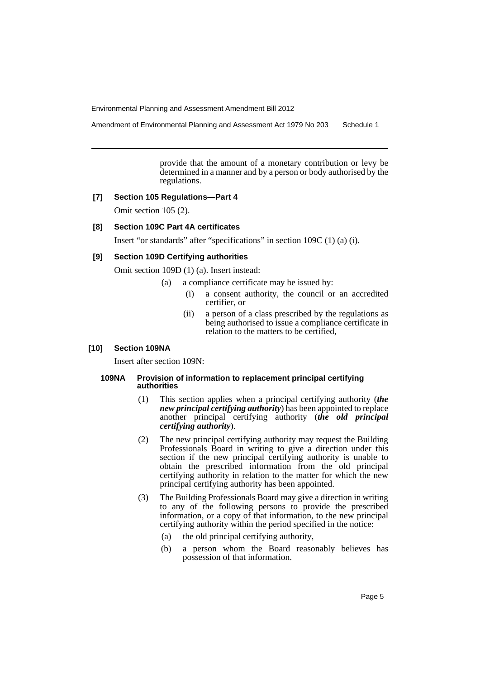Amendment of Environmental Planning and Assessment Act 1979 No 203 Schedule 1

provide that the amount of a monetary contribution or levy be determined in a manner and by a person or body authorised by the regulations.

#### **[7] Section 105 Regulations—Part 4**

Omit section 105 (2).

#### **[8] Section 109C Part 4A certificates**

Insert "or standards" after "specifications" in section 109C (1) (a) (i).

#### **[9] Section 109D Certifying authorities**

Omit section 109D (1) (a). Insert instead:

- (a) a compliance certificate may be issued by:
	- (i) a consent authority, the council or an accredited certifier, or
	- (ii) a person of a class prescribed by the regulations as being authorised to issue a compliance certificate in relation to the matters to be certified,

#### **[10] Section 109NA**

Insert after section 109N:

#### **109NA Provision of information to replacement principal certifying authorities**

- (1) This section applies when a principal certifying authority (*the new principal certifying authority*) has been appointed to replace another principal certifying authority (*the old principal certifying authority*).
- (2) The new principal certifying authority may request the Building Professionals Board in writing to give a direction under this section if the new principal certifying authority is unable to obtain the prescribed information from the old principal certifying authority in relation to the matter for which the new principal certifying authority has been appointed.
- (3) The Building Professionals Board may give a direction in writing to any of the following persons to provide the prescribed information, or a copy of that information, to the new principal certifying authority within the period specified in the notice:
	- (a) the old principal certifying authority,
	- (b) a person whom the Board reasonably believes has possession of that information.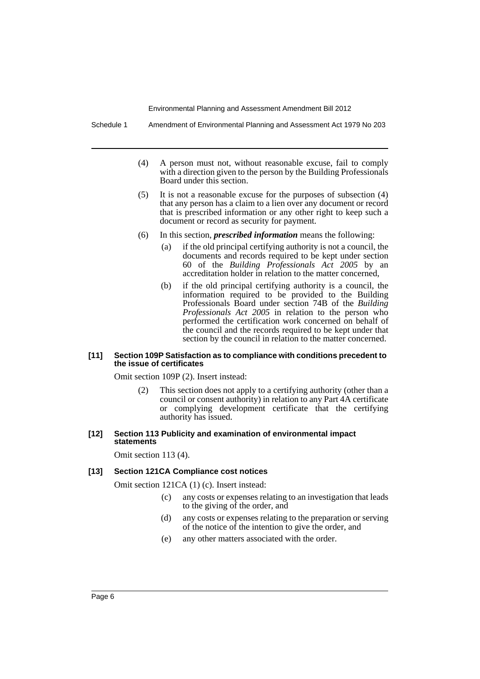Schedule 1 Amendment of Environmental Planning and Assessment Act 1979 No 203

- (4) A person must not, without reasonable excuse, fail to comply with a direction given to the person by the Building Professionals Board under this section.
- (5) It is not a reasonable excuse for the purposes of subsection (4) that any person has a claim to a lien over any document or record that is prescribed information or any other right to keep such a document or record as security for payment.
- (6) In this section, *prescribed information* means the following:
	- (a) if the old principal certifying authority is not a council, the documents and records required to be kept under section 60 of the *Building Professionals Act 2005* by an accreditation holder in relation to the matter concerned,
	- (b) if the old principal certifying authority is a council, the information required to be provided to the Building Professionals Board under section 74B of the *Building Professionals Act 2005* in relation to the person who performed the certification work concerned on behalf of the council and the records required to be kept under that section by the council in relation to the matter concerned.

#### **[11] Section 109P Satisfaction as to compliance with conditions precedent to the issue of certificates**

Omit section 109P (2). Insert instead:

(2) This section does not apply to a certifying authority (other than a council or consent authority) in relation to any Part 4A certificate or complying development certificate that the certifying authority has issued.

#### **[12] Section 113 Publicity and examination of environmental impact statements**

Omit section 113 (4).

## **[13] Section 121CA Compliance cost notices**

Omit section 121CA (1) (c). Insert instead:

- (c) any costs or expenses relating to an investigation that leads to the giving of the order, and
- (d) any costs or expenses relating to the preparation or serving of the notice of the intention to give the order, and
- (e) any other matters associated with the order.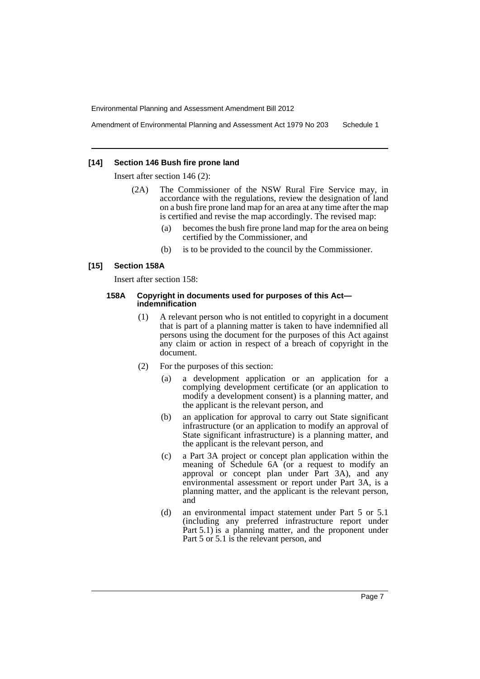Amendment of Environmental Planning and Assessment Act 1979 No 203 Schedule 1

#### **[14] Section 146 Bush fire prone land**

Insert after section 146 (2):

- (2A) The Commissioner of the NSW Rural Fire Service may, in accordance with the regulations, review the designation of land on a bush fire prone land map for an area at any time after the map is certified and revise the map accordingly. The revised map:
	- (a) becomes the bush fire prone land map for the area on being certified by the Commissioner, and
	- (b) is to be provided to the council by the Commissioner.

#### **[15] Section 158A**

Insert after section 158:

#### **158A Copyright in documents used for purposes of this Act indemnification**

- (1) A relevant person who is not entitled to copyright in a document that is part of a planning matter is taken to have indemnified all persons using the document for the purposes of this Act against any claim or action in respect of a breach of copyright in the document.
- (2) For the purposes of this section:
	- (a) a development application or an application for a complying development certificate (or an application to modify a development consent) is a planning matter, and the applicant is the relevant person, and
	- (b) an application for approval to carry out State significant infrastructure (or an application to modify an approval of State significant infrastructure) is a planning matter, and the applicant is the relevant person, and
	- (c) a Part 3A project or concept plan application within the meaning of Schedule 6A (or a request to modify an approval or concept plan under Part 3A), and any environmental assessment or report under Part 3A, is a planning matter, and the applicant is the relevant person, and
	- (d) an environmental impact statement under Part 5 or 5.1 (including any preferred infrastructure report under Part 5.1) is a planning matter, and the proponent under Part 5 or 5.1 is the relevant person, and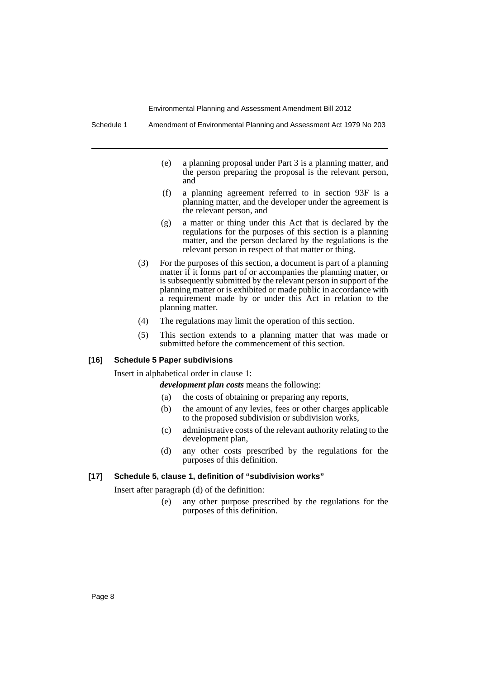Schedule 1 Amendment of Environmental Planning and Assessment Act 1979 No 203

- (e) a planning proposal under Part 3 is a planning matter, and the person preparing the proposal is the relevant person, and
- (f) a planning agreement referred to in section 93F is a planning matter, and the developer under the agreement is the relevant person, and
- (g) a matter or thing under this Act that is declared by the regulations for the purposes of this section is a planning matter, and the person declared by the regulations is the relevant person in respect of that matter or thing.
- (3) For the purposes of this section, a document is part of a planning matter if it forms part of or accompanies the planning matter, or is subsequently submitted by the relevant person in support of the planning matter or is exhibited or made public in accordance with a requirement made by or under this Act in relation to the planning matter.
- (4) The regulations may limit the operation of this section.
- (5) This section extends to a planning matter that was made or submitted before the commencement of this section.

## **[16] Schedule 5 Paper subdivisions**

Insert in alphabetical order in clause 1:

*development plan costs* means the following:

- (a) the costs of obtaining or preparing any reports,
- (b) the amount of any levies, fees or other charges applicable to the proposed subdivision or subdivision works,
- (c) administrative costs of the relevant authority relating to the development plan,
- (d) any other costs prescribed by the regulations for the purposes of this definition.

#### **[17] Schedule 5, clause 1, definition of "subdivision works"**

Insert after paragraph (d) of the definition:

(e) any other purpose prescribed by the regulations for the purposes of this definition.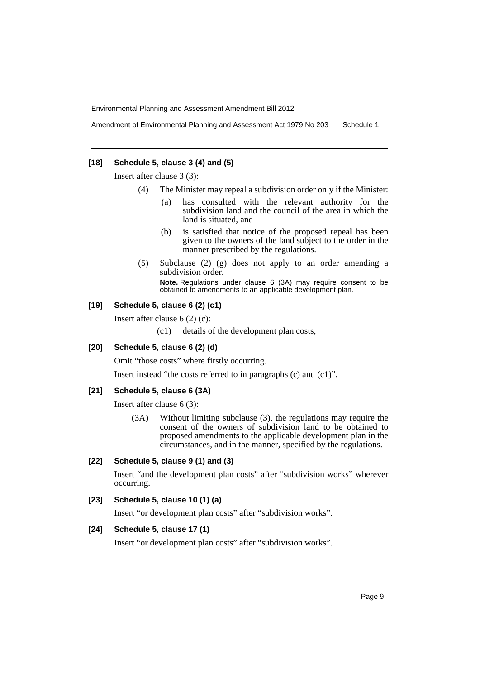Amendment of Environmental Planning and Assessment Act 1979 No 203 Schedule 1

#### **[18] Schedule 5, clause 3 (4) and (5)**

Insert after clause 3 (3):

- (4) The Minister may repeal a subdivision order only if the Minister:
	- (a) has consulted with the relevant authority for the subdivision land and the council of the area in which the land is situated, and
	- (b) is satisfied that notice of the proposed repeal has been given to the owners of the land subject to the order in the manner prescribed by the regulations.
- (5) Subclause (2) (g) does not apply to an order amending a subdivision order.

**Note.** Regulations under clause 6 (3A) may require consent to be obtained to amendments to an applicable development plan.

## **[19] Schedule 5, clause 6 (2) (c1)**

Insert after clause 6 (2) (c):

(c1) details of the development plan costs,

#### **[20] Schedule 5, clause 6 (2) (d)**

Omit "those costs" where firstly occurring.

Insert instead "the costs referred to in paragraphs (c) and (c1)".

#### **[21] Schedule 5, clause 6 (3A)**

Insert after clause 6 (3):

(3A) Without limiting subclause (3), the regulations may require the consent of the owners of subdivision land to be obtained to proposed amendments to the applicable development plan in the circumstances, and in the manner, specified by the regulations.

#### **[22] Schedule 5, clause 9 (1) and (3)**

Insert "and the development plan costs" after "subdivision works" wherever occurring.

## **[23] Schedule 5, clause 10 (1) (a)**

Insert "or development plan costs" after "subdivision works".

## **[24] Schedule 5, clause 17 (1)**

Insert "or development plan costs" after "subdivision works".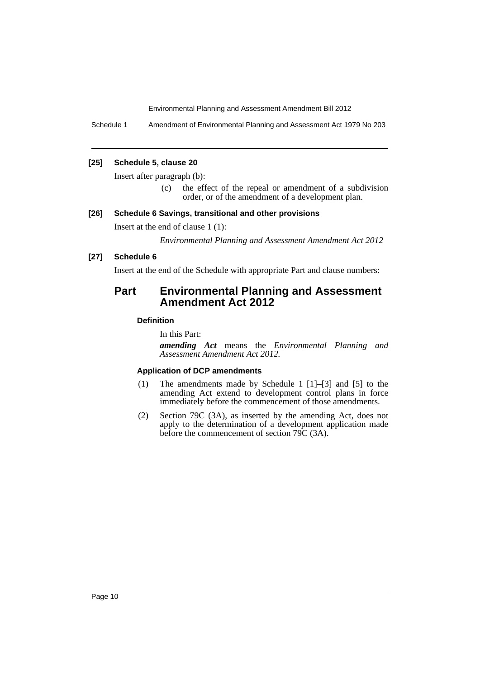Schedule 1 Amendment of Environmental Planning and Assessment Act 1979 No 203

#### **[25] Schedule 5, clause 20**

Insert after paragraph (b):

(c) the effect of the repeal or amendment of a subdivision order, or of the amendment of a development plan.

#### **[26] Schedule 6 Savings, transitional and other provisions**

Insert at the end of clause 1 (1):

*Environmental Planning and Assessment Amendment Act 2012*

#### **[27] Schedule 6**

Insert at the end of the Schedule with appropriate Part and clause numbers:

# **Part Environmental Planning and Assessment Amendment Act 2012**

## **Definition**

In this Part:

*amending Act* means the *Environmental Planning and Assessment Amendment Act 2012.*

#### **Application of DCP amendments**

- (1) The amendments made by Schedule 1 [1]–[3] and [5] to the amending Act extend to development control plans in force immediately before the commencement of those amendments.
- (2) Section 79C (3A), as inserted by the amending Act, does not apply to the determination of a development application made before the commencement of section 79C (3A).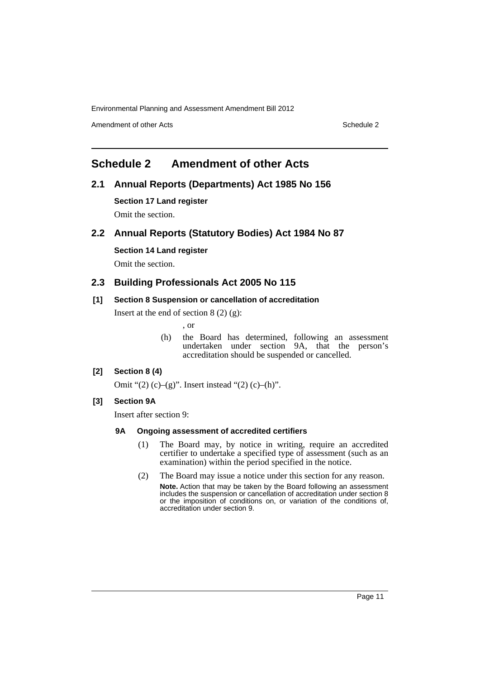Amendment of other Acts **Schedule 2** and the 2 and the 2 and 2 and 2 and 2 and 2 and 2 and 2 and 2 and 2 and 2 and 2 and 2 and 2 and 2 and 2 and 2 and 2 and 2 and 2 and 2 and 2 and 2 and 2 and 2 and 2 and 2 and 2 and 2 and

# <span id="page-12-0"></span>**Schedule 2 Amendment of other Acts**

## **2.1 Annual Reports (Departments) Act 1985 No 156**

**Section 17 Land register** Omit the section.

## **2.2 Annual Reports (Statutory Bodies) Act 1984 No 87**

### **Section 14 Land register**

Omit the section.

## **2.3 Building Professionals Act 2005 No 115**

## **[1] Section 8 Suspension or cancellation of accreditation**

Insert at the end of section  $8(2)(g)$ :

- , or
- (h) the Board has determined, following an assessment undertaken under section 9A, that the person's accreditation should be suspended or cancelled.

## **[2] Section 8 (4)**

Omit " $(2)$  (c)– $(g)$ ". Insert instead " $(2)$  (c)– $(h)$ ".

## **[3] Section 9A**

Insert after section 9:

## **9A Ongoing assessment of accredited certifiers**

- (1) The Board may, by notice in writing, require an accredited certifier to undertake a specified type of assessment (such as an examination) within the period specified in the notice.
- (2) The Board may issue a notice under this section for any reason. **Note.** Action that may be taken by the Board following an assessment includes the suspension or cancellation of accreditation under section 8 or the imposition of conditions on, or variation of the conditions of, accreditation under section 9.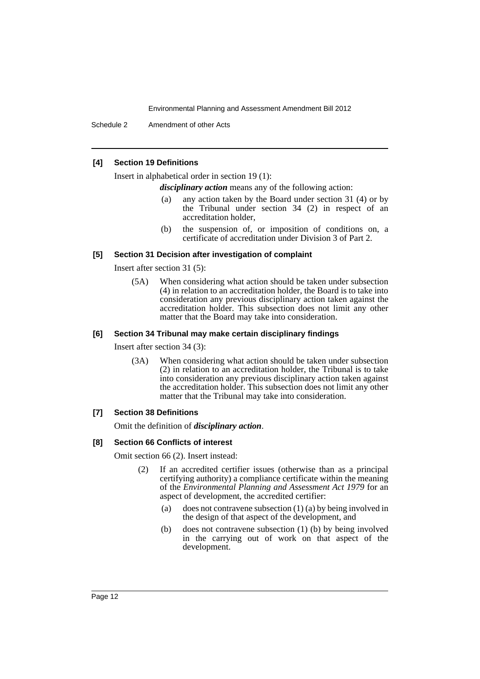Schedule 2 Amendment of other Acts

#### **[4] Section 19 Definitions**

Insert in alphabetical order in section 19 (1):

*disciplinary action* means any of the following action:

- (a) any action taken by the Board under section 31 (4) or by the Tribunal under section 34 (2) in respect of an accreditation holder,
- (b) the suspension of, or imposition of conditions on, a certificate of accreditation under Division 3 of Part 2.

#### **[5] Section 31 Decision after investigation of complaint**

Insert after section 31 (5):

(5A) When considering what action should be taken under subsection (4) in relation to an accreditation holder, the Board is to take into consideration any previous disciplinary action taken against the accreditation holder. This subsection does not limit any other matter that the Board may take into consideration.

#### **[6] Section 34 Tribunal may make certain disciplinary findings**

Insert after section 34 (3):

(3A) When considering what action should be taken under subsection (2) in relation to an accreditation holder, the Tribunal is to take into consideration any previous disciplinary action taken against the accreditation holder. This subsection does not limit any other matter that the Tribunal may take into consideration.

#### **[7] Section 38 Definitions**

Omit the definition of *disciplinary action*.

#### **[8] Section 66 Conflicts of interest**

Omit section 66 (2). Insert instead:

- (2) If an accredited certifier issues (otherwise than as a principal certifying authority) a compliance certificate within the meaning of the *Environmental Planning and Assessment Act 1979* for an aspect of development, the accredited certifier:
	- (a) does not contravene subsection (1) (a) by being involved in the design of that aspect of the development, and
	- (b) does not contravene subsection (1) (b) by being involved in the carrying out of work on that aspect of the development.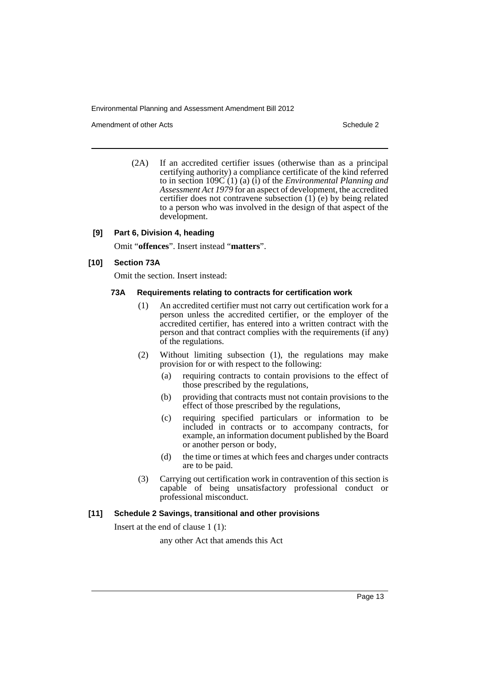Amendment of other Acts **Schedule 2** and the 2

(2A) If an accredited certifier issues (otherwise than as a principal certifying authority) a compliance certificate of the kind referred to in section 109C (1) (a) (i) of the *Environmental Planning and Assessment Act 1979* for an aspect of development, the accredited certifier does not contravene subsection  $(1)$  (e) by being related to a person who was involved in the design of that aspect of the development.

#### **[9] Part 6, Division 4, heading**

Omit "**offences**". Insert instead "**matters**".

#### **[10] Section 73A**

Omit the section. Insert instead:

#### **73A Requirements relating to contracts for certification work**

- (1) An accredited certifier must not carry out certification work for a person unless the accredited certifier, or the employer of the accredited certifier, has entered into a written contract with the person and that contract complies with the requirements (if any) of the regulations.
- (2) Without limiting subsection (1), the regulations may make provision for or with respect to the following:
	- (a) requiring contracts to contain provisions to the effect of those prescribed by the regulations,
	- (b) providing that contracts must not contain provisions to the effect of those prescribed by the regulations,
	- (c) requiring specified particulars or information to be included in contracts or to accompany contracts, for example, an information document published by the Board or another person or body,
	- (d) the time or times at which fees and charges under contracts are to be paid.
- (3) Carrying out certification work in contravention of this section is capable of being unsatisfactory professional conduct or professional misconduct.

#### **[11] Schedule 2 Savings, transitional and other provisions**

Insert at the end of clause 1 (1):

any other Act that amends this Act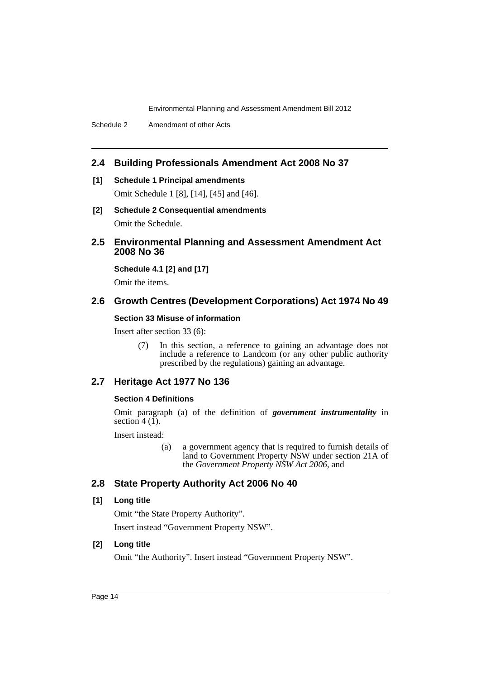## **2.4 Building Professionals Amendment Act 2008 No 37**

## **[1] Schedule 1 Principal amendments**

Omit Schedule 1 [8], [14], [45] and [46].

**[2] Schedule 2 Consequential amendments** Omit the Schedule.

## **2.5 Environmental Planning and Assessment Amendment Act 2008 No 36**

**Schedule 4.1 [2] and [17]**

Omit the items.

## **2.6 Growth Centres (Development Corporations) Act 1974 No 49**

#### **Section 33 Misuse of information**

Insert after section 33 (6):

(7) In this section, a reference to gaining an advantage does not include a reference to Landcom (or any other public authority prescribed by the regulations) gaining an advantage.

## **2.7 Heritage Act 1977 No 136**

### **Section 4 Definitions**

Omit paragraph (a) of the definition of *government instrumentality* in section  $4(1)$ .

Insert instead:

(a) a government agency that is required to furnish details of land to Government Property NSW under section 21A of the *Government Property NSW Act 2006*, and

## **2.8 State Property Authority Act 2006 No 40**

#### **[1] Long title**

Omit "the State Property Authority". Insert instead "Government Property NSW".

## **[2] Long title**

Omit "the Authority". Insert instead "Government Property NSW".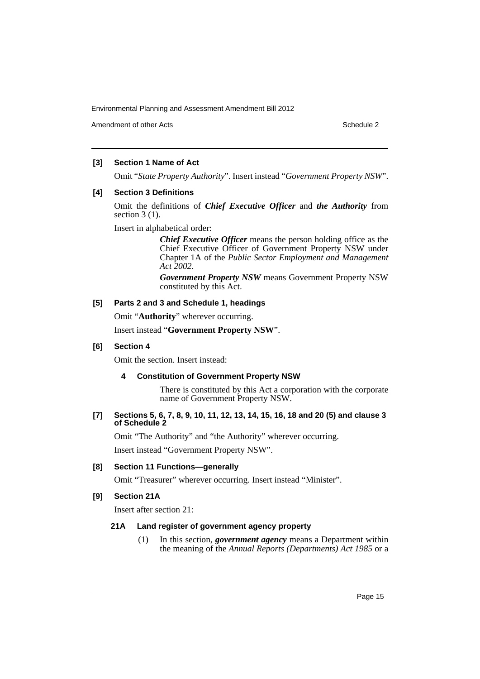Amendment of other Acts **Schedule 2** and the 2 and the 2 and 2 and 2 and 2 and 2 and 2 and 2 and 2 and 2 and 2 and 2 and 2 and 2 and 2 and 2 and 2 and 2 and 2 and 2 and 2 and 2 and 2 and 2 and 2 and 2 and 2 and 2 and 2 and

## **[3] Section 1 Name of Act**

Omit "*State Property Authority*". Insert instead "*Government Property NSW*".

### **[4] Section 3 Definitions**

Omit the definitions of *Chief Executive Officer* and *the Authority* from section  $3(1)$ .

Insert in alphabetical order:

*Chief Executive Officer* means the person holding office as the Chief Executive Officer of Government Property NSW under Chapter 1A of the *Public Sector Employment and Management Act 2002*.

*Government Property NSW* means Government Property NSW constituted by this Act.

### **[5] Parts 2 and 3 and Schedule 1, headings**

Omit "**Authority**" wherever occurring.

Insert instead "**Government Property NSW**".

## **[6] Section 4**

Omit the section. Insert instead:

## **4 Constitution of Government Property NSW**

There is constituted by this Act a corporation with the corporate name of Government Property NSW.

### **[7] Sections 5, 6, 7, 8, 9, 10, 11, 12, 13, 14, 15, 16, 18 and 20 (5) and clause 3 of Schedule 2**

Omit "The Authority" and "the Authority" wherever occurring.

Insert instead "Government Property NSW".

## **[8] Section 11 Functions—generally**

Omit "Treasurer" wherever occurring. Insert instead "Minister".

## **[9] Section 21A**

Insert after section 21:

## **21A Land register of government agency property**

(1) In this section, *government agency* means a Department within the meaning of the *Annual Reports (Departments) Act 1985* or a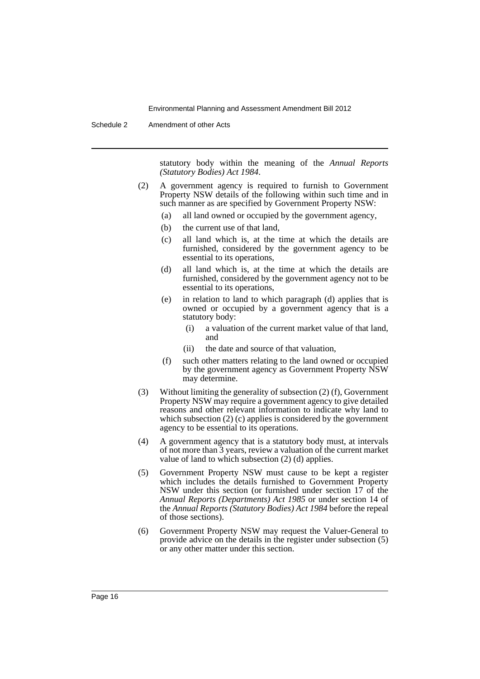Schedule 2 Amendment of other Acts

statutory body within the meaning of the *Annual Reports (Statutory Bodies) Act 1984*.

- (2) A government agency is required to furnish to Government Property NSW details of the following within such time and in such manner as are specified by Government Property NSW:
	- (a) all land owned or occupied by the government agency,
	- (b) the current use of that land,
	- (c) all land which is, at the time at which the details are furnished, considered by the government agency to be essential to its operations,
	- (d) all land which is, at the time at which the details are furnished, considered by the government agency not to be essential to its operations,
	- (e) in relation to land to which paragraph (d) applies that is owned or occupied by a government agency that is a statutory body:
		- (i) a valuation of the current market value of that land, and
		- (ii) the date and source of that valuation,
	- (f) such other matters relating to the land owned or occupied by the government agency as Government Property NSW may determine.
- (3) Without limiting the generality of subsection (2) (f), Government Property NSW may require a government agency to give detailed reasons and other relevant information to indicate why land to which subsection  $(2)$  (c) applies is considered by the government agency to be essential to its operations.
- (4) A government agency that is a statutory body must, at intervals of not more than 3 years, review a valuation of the current market value of land to which subsection (2) (d) applies.
- (5) Government Property NSW must cause to be kept a register which includes the details furnished to Government Property NSW under this section (or furnished under section 17 of the *Annual Reports (Departments) Act 1985* or under section 14 of the *Annual Reports (Statutory Bodies) Act 1984* before the repeal of those sections).
- (6) Government Property NSW may request the Valuer-General to provide advice on the details in the register under subsection (5) or any other matter under this section.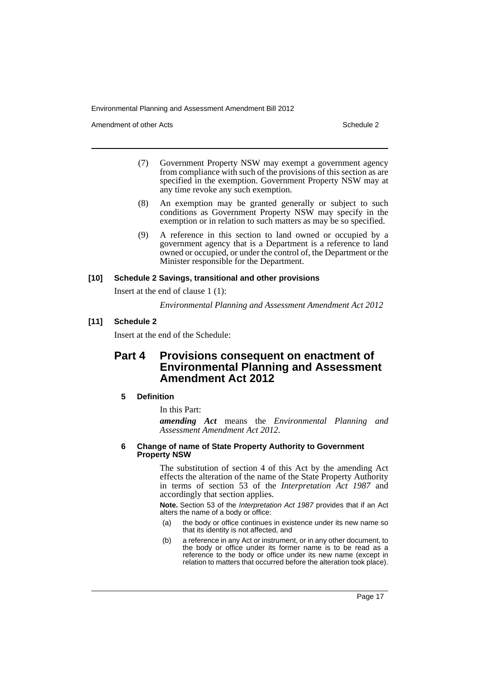Amendment of other Acts **Schedule 2** and the 2

- (7) Government Property NSW may exempt a government agency from compliance with such of the provisions of this section as are specified in the exemption. Government Property NSW may at any time revoke any such exemption.
- (8) An exemption may be granted generally or subject to such conditions as Government Property NSW may specify in the exemption or in relation to such matters as may be so specified.
- (9) A reference in this section to land owned or occupied by a government agency that is a Department is a reference to land owned or occupied, or under the control of, the Department or the Minister responsible for the Department.

#### **[10] Schedule 2 Savings, transitional and other provisions**

Insert at the end of clause 1 (1):

*Environmental Planning and Assessment Amendment Act 2012*

### **[11] Schedule 2**

Insert at the end of the Schedule:

## **Part 4 Provisions consequent on enactment of Environmental Planning and Assessment Amendment Act 2012**

#### **5 Definition**

In this Part:

*amending Act* means the *Environmental Planning and Assessment Amendment Act 2012*.

#### **6 Change of name of State Property Authority to Government Property NSW**

The substitution of section 4 of this Act by the amending Act effects the alteration of the name of the State Property Authority in terms of section 53 of the *Interpretation Act 1987* and accordingly that section applies.

**Note.** Section 53 of the *Interpretation Act 1987* provides that if an Act alters the name of a body or office:

- (a) the body or office continues in existence under its new name so that its identity is not affected, and
- (b) a reference in any Act or instrument, or in any other document, to the body or office under its former name is to be read as a reference to the body or office under its new name (except in relation to matters that occurred before the alteration took place).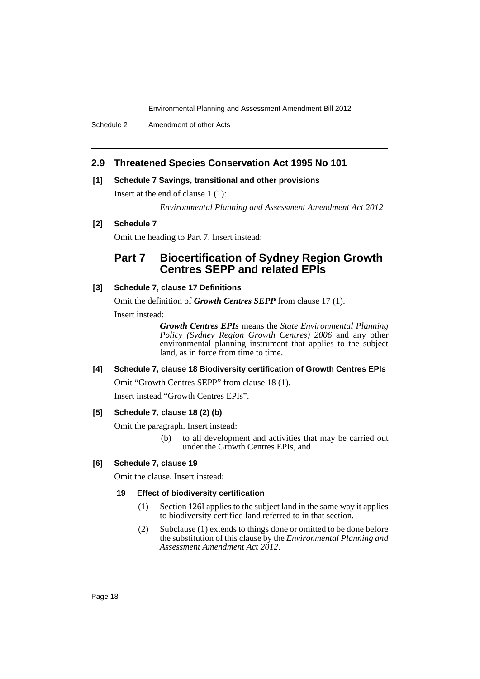Schedule 2 Amendment of other Acts

## **2.9 Threatened Species Conservation Act 1995 No 101**

#### **[1] Schedule 7 Savings, transitional and other provisions**

Insert at the end of clause 1 (1):

*Environmental Planning and Assessment Amendment Act 2012*

## **[2] Schedule 7**

Omit the heading to Part 7. Insert instead:

# **Part 7 Biocertification of Sydney Region Growth Centres SEPP and related EPIs**

### **[3] Schedule 7, clause 17 Definitions**

Omit the definition of *Growth Centres SEPP* from clause 17 (1).

Insert instead:

*Growth Centres EPIs* means the *State Environmental Planning Policy (Sydney Region Growth Centres) 2006* and any other environmental planning instrument that applies to the subject land, as in force from time to time.

## **[4] Schedule 7, clause 18 Biodiversity certification of Growth Centres EPIs**

Omit "Growth Centres SEPP" from clause 18 (1).

Insert instead "Growth Centres EPIs".

## **[5] Schedule 7, clause 18 (2) (b)**

Omit the paragraph. Insert instead:

(b) to all development and activities that may be carried out under the Growth Centres EPIs, and

## **[6] Schedule 7, clause 19**

Omit the clause. Insert instead:

#### **19 Effect of biodiversity certification**

- (1) Section 126I applies to the subject land in the same way it applies to biodiversity certified land referred to in that section.
- (2) Subclause (1) extends to things done or omitted to be done before the substitution of this clause by the *Environmental Planning and Assessment Amendment Act 2012*.